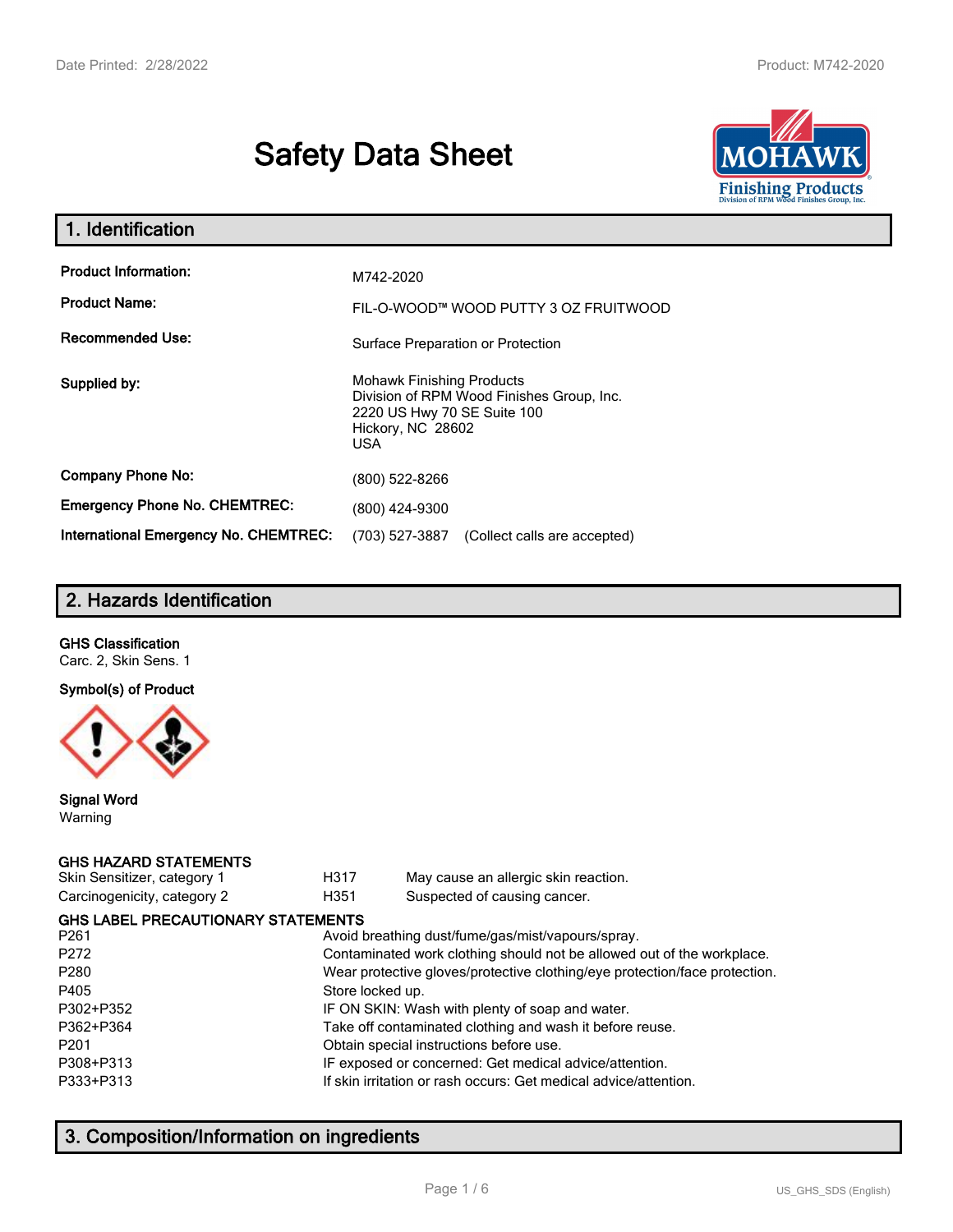# **Safety Data Sheet**



| 1. Identification                                   |                                                                                                                                          |  |  |
|-----------------------------------------------------|------------------------------------------------------------------------------------------------------------------------------------------|--|--|
| <b>Product Information:</b><br><b>Product Name:</b> | M742-2020<br>FIL-O-WOOD™ WOOD PUTTY 3 OZ FRUITWOOD                                                                                       |  |  |
| <b>Recommended Use:</b>                             | Surface Preparation or Protection                                                                                                        |  |  |
| Supplied by:                                        | <b>Mohawk Finishing Products</b><br>Division of RPM Wood Finishes Group, Inc.<br>2220 US Hwy 70 SE Suite 100<br>Hickory, NC 28602<br>USA |  |  |
| <b>Company Phone No:</b>                            | (800) 522-8266                                                                                                                           |  |  |
| <b>Emergency Phone No. CHEMTREC:</b>                | (800) 424-9300                                                                                                                           |  |  |
| <b>International Emergency No. CHEMTREC:</b>        | (703) 527-3887<br>(Collect calls are accepted)                                                                                           |  |  |

# **2. Hazards Identification**

#### **GHS Classification**

Carc. 2, Skin Sens. 1

#### **Symbol(s) of Product**



#### **Signal Word** Warning

#### **GHS HAZARD STATEMENTS**

| Skin Sensitizer, category 1 |  |
|-----------------------------|--|
| Carcinogenicity, category 2 |  |

H317 May cause an allergic skin reaction. genicity, category 2 **H351** Suspected of causing cancer.

| <b>GHS LABEL PRECAUTIONARY STATEMENTS</b> |                                                                            |
|-------------------------------------------|----------------------------------------------------------------------------|
| P <sub>261</sub>                          | Avoid breathing dust/fume/gas/mist/vapours/spray.                          |
| P272                                      | Contaminated work clothing should not be allowed out of the workplace.     |
| P280                                      | Wear protective gloves/protective clothing/eye protection/face protection. |
| P405                                      | Store locked up.                                                           |
| P302+P352                                 | IF ON SKIN: Wash with plenty of soap and water.                            |
| P362+P364                                 | Take off contaminated clothing and wash it before reuse.                   |
| P201                                      | Obtain special instructions before use.                                    |
| P308+P313                                 | IF exposed or concerned: Get medical advice/attention.                     |
| P333+P313                                 | If skin irritation or rash occurs: Get medical advice/attention.           |
|                                           |                                                                            |

# **3. Composition/Information on ingredients**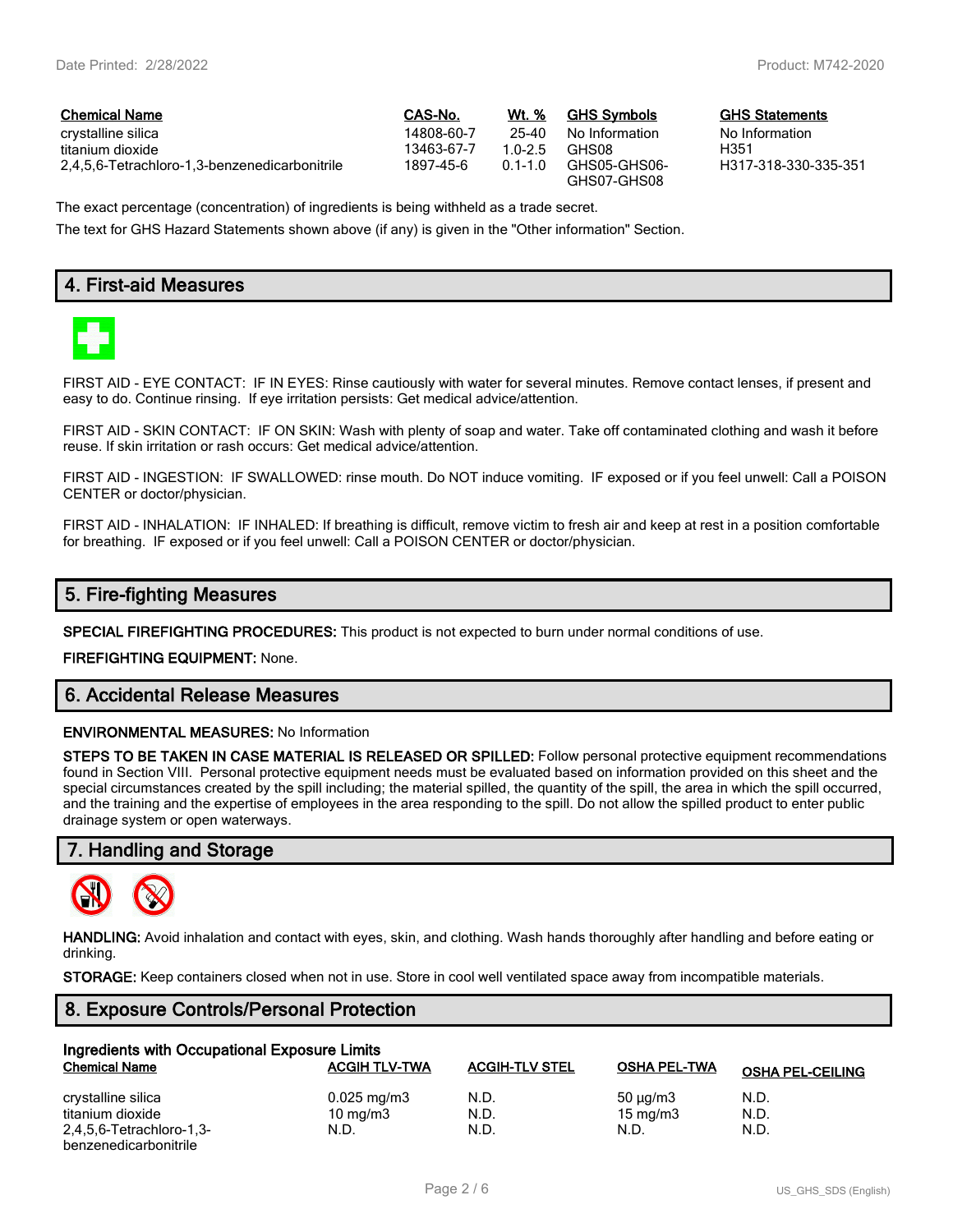$GHS$  Statements No Information<br>H351

H317-318-330-335-351

| <b>Chemical Name</b>                          | <b>CAS-No.</b> | Wt. %       | <b>GHS Symbols</b>          | GHS   |
|-----------------------------------------------|----------------|-------------|-----------------------------|-------|
| crystalline silica                            | 14808-60-7     | 25-40       | No Information              | No In |
| titanium dioxide                              | 13463-67-7     | 10-25       | GHS08                       | H351  |
| 2,4,5,6-Tetrachloro-1,3-benzenedicarbonitrile | 1897-45-6      | $0.1 - 1.0$ | GHS05-GHS06-<br>GHS07-GHS08 | H317  |

The exact percentage (concentration) of ingredients is being withheld as a trade secret.

The text for GHS Hazard Statements shown above (if any) is given in the "Other information" Section.

# **4. First-aid Measures**



FIRST AID - EYE CONTACT: IF IN EYES: Rinse cautiously with water for several minutes. Remove contact lenses, if present and easy to do. Continue rinsing. If eye irritation persists: Get medical advice/attention.

FIRST AID - SKIN CONTACT: IF ON SKIN: Wash with plenty of soap and water. Take off contaminated clothing and wash it before reuse. If skin irritation or rash occurs: Get medical advice/attention.

FIRST AID - INGESTION: IF SWALLOWED: rinse mouth. Do NOT induce vomiting. IF exposed or if you feel unwell: Call a POISON CENTER or doctor/physician.

FIRST AID - INHALATION: IF INHALED: If breathing is difficult, remove victim to fresh air and keep at rest in a position comfortable for breathing. IF exposed or if you feel unwell: Call a POISON CENTER or doctor/physician.

# **5. Fire-fighting Measures**

**SPECIAL FIREFIGHTING PROCEDURES:** This product is not expected to burn under normal conditions of use.

**FIREFIGHTING EQUIPMENT:** None.

# **6. Accidental Release Measures**

#### **ENVIRONMENTAL MEASURES:** No Information

**STEPS TO BE TAKEN IN CASE MATERIAL IS RELEASED OR SPILLED:** Follow personal protective equipment recommendations found in Section VIII. Personal protective equipment needs must be evaluated based on information provided on this sheet and the special circumstances created by the spill including; the material spilled, the quantity of the spill, the area in which the spill occurred, and the training and the expertise of employees in the area responding to the spill. Do not allow the spilled product to enter public drainage system or open waterways.

## **7. Handling and Storage**



**HANDLING:** Avoid inhalation and contact with eyes, skin, and clothing. Wash hands thoroughly after handling and before eating or drinking.

**STORAGE:** Keep containers closed when not in use. Store in cool well ventilated space away from incompatible materials.

#### **8. Exposure Controls/Personal Protection**

| Ingredients with Occupational Exposure Limits |                         |                       |                     |                         |  |  |
|-----------------------------------------------|-------------------------|-----------------------|---------------------|-------------------------|--|--|
| <b>Chemical Name</b>                          | <b>ACGIH TLV-TWA</b>    | <b>ACGIH-TLV STEL</b> | <b>OSHA PEL-TWA</b> | <b>OSHA PEL-CEILING</b> |  |  |
| crystalline silica                            | $0.025 \,\mathrm{mg/m}$ | N.D.                  | 50 $\mu$ g/m3       | N.D.                    |  |  |
| titanium dioxide                              | 10 $mq/m3$              | N.D.                  | 15 mg/m $3$         | N.D.                    |  |  |
| 2,4,5,6-Tetrachloro-1,3-                      | N.D.                    | N.D.                  | N.D.                | N.D.                    |  |  |
| benzenedicarbonitrile                         |                         |                       |                     |                         |  |  |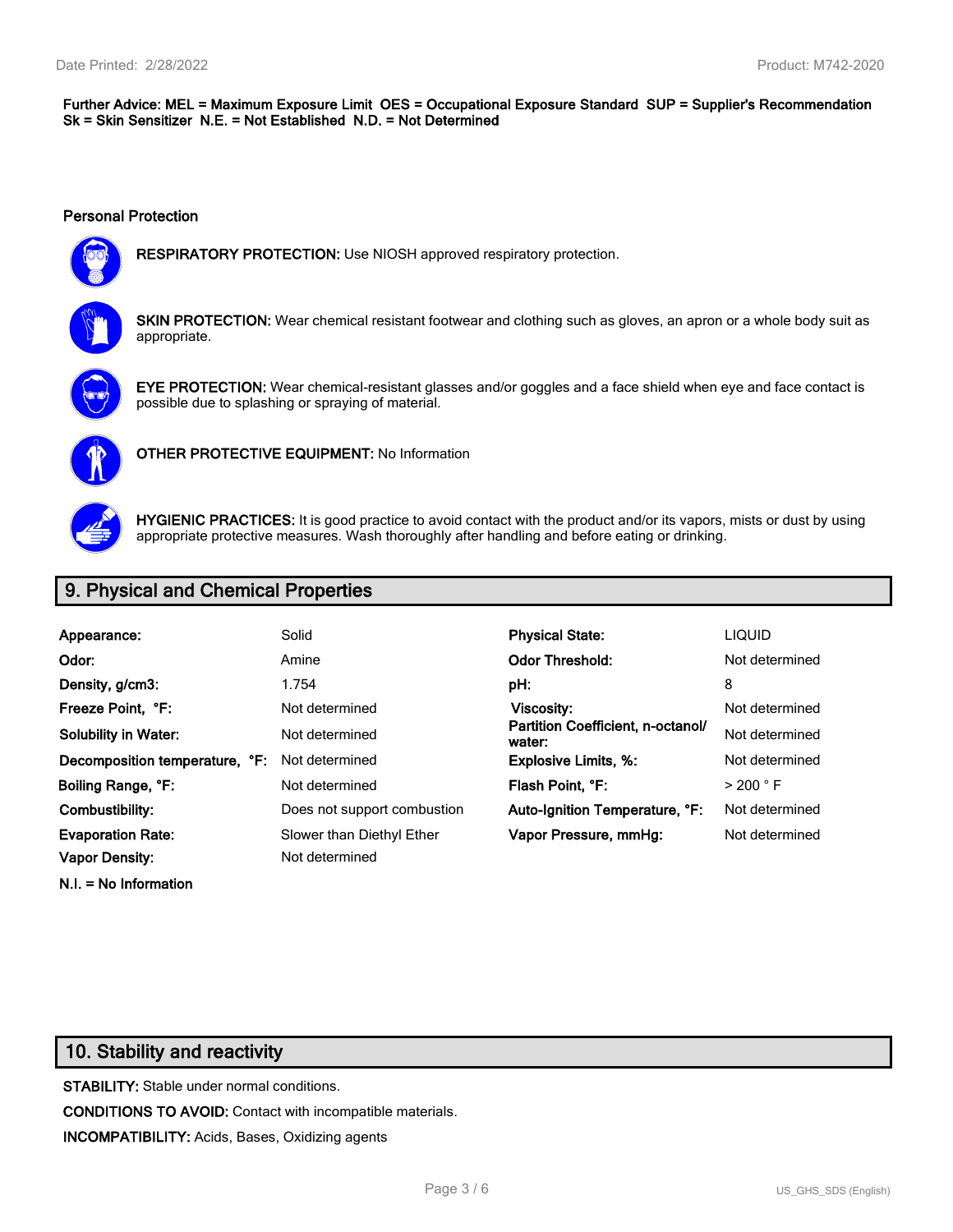#### **Further Advice: MEL = Maximum Exposure Limit OES = Occupational Exposure Standard SUP = Supplier's Recommendation Sk = Skin Sensitizer N.E. = Not Established N.D. = Not Determined**

#### **Personal Protection**



**RESPIRATORY PROTECTION:** Use NIOSH approved respiratory protection.



**SKIN PROTECTION:** Wear chemical resistant footwear and clothing such as gloves, an apron or a whole body suit as appropriate.



**EYE PROTECTION:** Wear chemical-resistant glasses and/or goggles and a face shield when eye and face contact is possible due to splashing or spraying of material.



**OTHER PROTECTIVE EQUIPMENT:** No Information



**HYGIENIC PRACTICES:** It is good practice to avoid contact with the product and/or its vapors, mists or dust by using appropriate protective measures. Wash thoroughly after handling and before eating or drinking.

# **9. Physical and Chemical Properties**

| Appearance:                    | Solid                       | <b>Physical State:</b>                      | <b>LIQUID</b>        |
|--------------------------------|-----------------------------|---------------------------------------------|----------------------|
| Odor:                          | Amine                       | <b>Odor Threshold:</b>                      | Not determined       |
| Density, g/cm3:                | 1.754                       | pH:                                         | 8                    |
| Freeze Point. °F:              | Not determined              | Viscosity:                                  | Not determined       |
| <b>Solubility in Water:</b>    | Not determined              | Partition Coefficient, n-octanol/<br>water: | Not determined       |
| Decomposition temperature, °F: | Not determined              | <b>Explosive Limits, %:</b>                 | Not determined       |
| Boiling Range, °F:             | Not determined              | Flash Point. °F:                            | $>$ 200 $^{\circ}$ F |
| Combustibility:                | Does not support combustion | Auto-Ignition Temperature, °F:              | Not determined       |
| <b>Evaporation Rate:</b>       | Slower than Diethyl Ether   | Vapor Pressure, mmHq:                       | Not determined       |
| <b>Vapor Density:</b>          | Not determined              |                                             |                      |

**N.I. = No Information**

# **10. Stability and reactivity**

**STABILITY:** Stable under normal conditions. **CONDITIONS TO AVOID:** Contact with incompatible materials. **INCOMPATIBILITY:** Acids, Bases, Oxidizing agents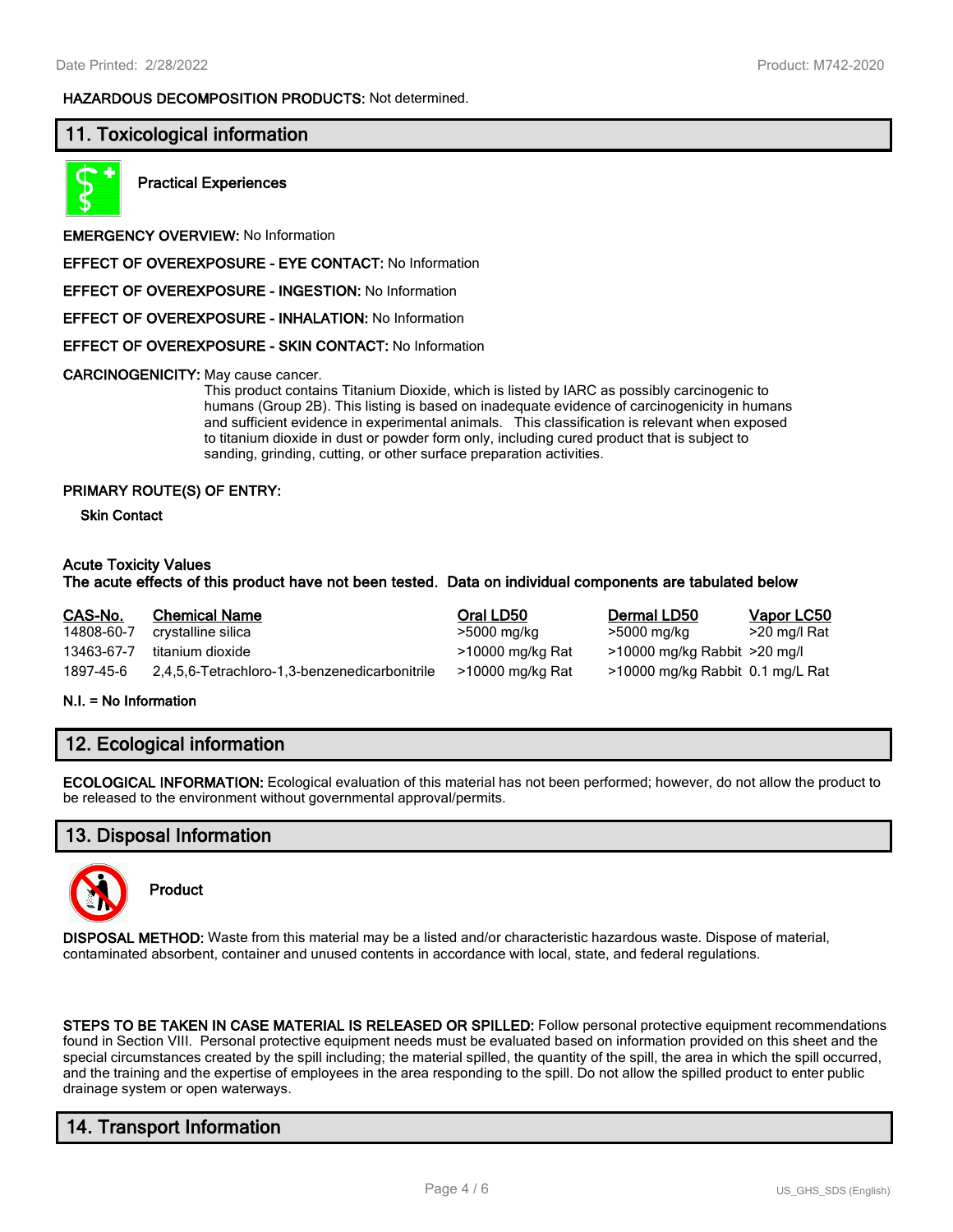#### **HAZARDOUS DECOMPOSITION PRODUCTS:** Not determined.

## **11. Toxicological information**



**Practical Experiences**

**EMERGENCY OVERVIEW:** No Information

**EFFECT OF OVEREXPOSURE - EYE CONTACT:** No Information

**EFFECT OF OVEREXPOSURE - INGESTION:** No Information

**EFFECT OF OVEREXPOSURE - INHALATION:** No Information

**EFFECT OF OVEREXPOSURE - SKIN CONTACT:** No Information

**CARCINOGENICITY:** May cause cancer.

This product contains Titanium Dioxide, which is listed by IARC as possibly carcinogenic to humans (Group 2B). This listing is based on inadequate evidence of carcinogenicity in humans and sufficient evidence in experimental animals. This classification is relevant when exposed to titanium dioxide in dust or powder form only, including cured product that is subject to sanding, grinding, cutting, or other surface preparation activities.

#### **PRIMARY ROUTE(S) OF ENTRY:**

**Skin Contact**

#### **Acute Toxicity Values**

#### **The acute effects of this product have not been tested. Data on individual components are tabulated below**

| CAS-No.    | <b>Chemical Name</b>                          | Oral LD50        | Dermal LD50                      | Vapor LC50   |
|------------|-----------------------------------------------|------------------|----------------------------------|--------------|
| 14808-60-7 | crystalline silica                            | >5000 mg/kg      | >5000 mg/kg                      | >20 mg/l Rat |
| 13463-67-7 | titanium dioxide                              | >10000 mg/kg Rat | $>10000$ mg/kg Rabbit $>20$ mg/l |              |
| 1897-45-6  | 2,4,5,6-Tetrachloro-1,3-benzenedicarbonitrile | >10000 mg/kg Rat | >10000 mg/kg Rabbit 0.1 mg/L Rat |              |

#### **N.I. = No Information**

# **12. Ecological information**

**ECOLOGICAL INFORMATION:** Ecological evaluation of this material has not been performed; however, do not allow the product to be released to the environment without governmental approval/permits.

## **13. Disposal Information**



**Product**

**DISPOSAL METHOD:** Waste from this material may be a listed and/or characteristic hazardous waste. Dispose of material, contaminated absorbent, container and unused contents in accordance with local, state, and federal regulations.

**STEPS TO BE TAKEN IN CASE MATERIAL IS RELEASED OR SPILLED:** Follow personal protective equipment recommendations found in Section VIII. Personal protective equipment needs must be evaluated based on information provided on this sheet and the special circumstances created by the spill including; the material spilled, the quantity of the spill, the area in which the spill occurred, and the training and the expertise of employees in the area responding to the spill. Do not allow the spilled product to enter public drainage system or open waterways.

# **14. Transport Information**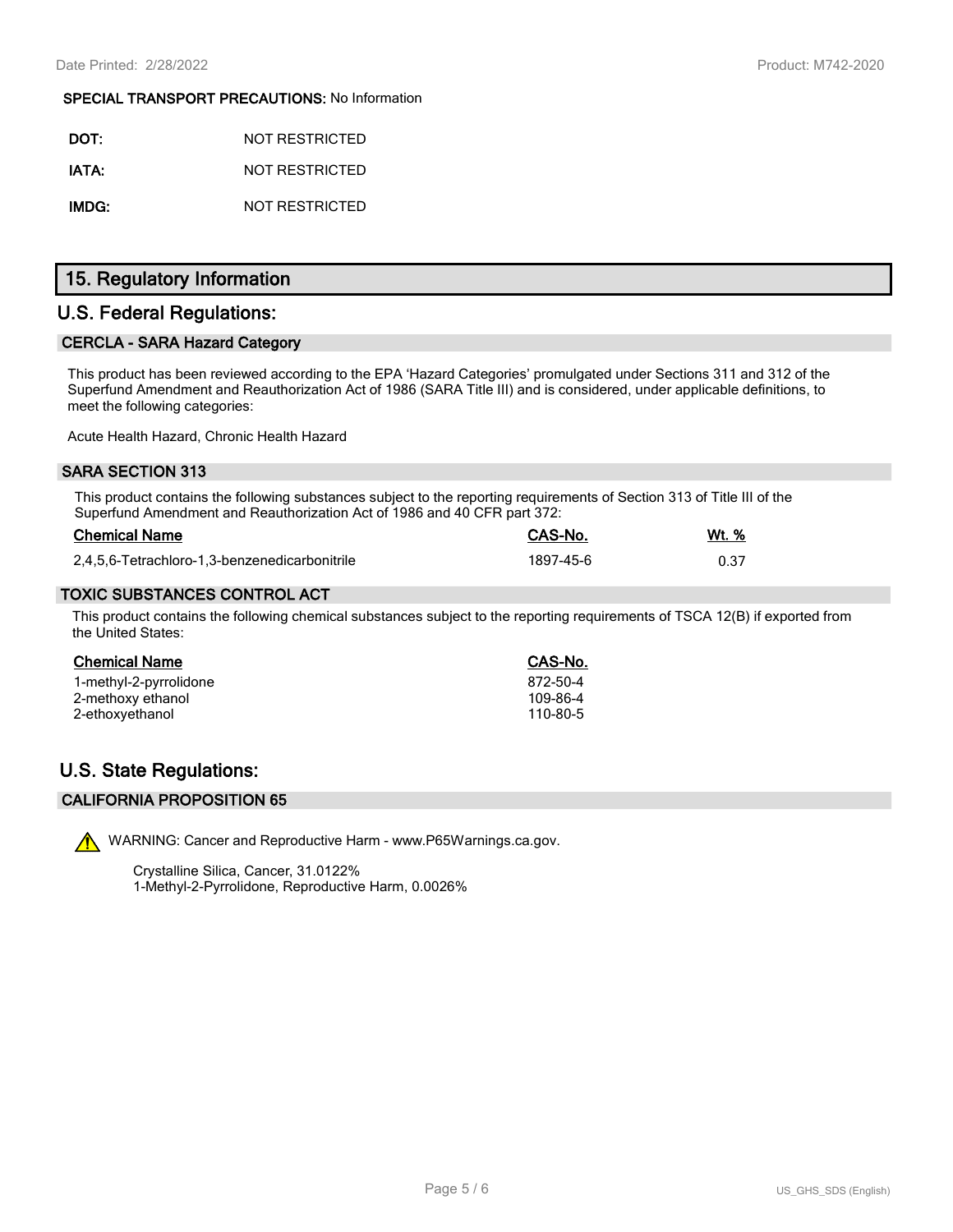#### **SPECIAL TRANSPORT PRECAUTIONS:** No Information

| DOT:  | NOT RESTRICTED |
|-------|----------------|
| IATA: | NOT RESTRICTED |
| IMDG: | NOT RESTRICTED |

# **15. Regulatory Information**

## **U.S. Federal Regulations:**

## **CERCLA - SARA Hazard Category**

This product has been reviewed according to the EPA 'Hazard Categories' promulgated under Sections 311 and 312 of the Superfund Amendment and Reauthorization Act of 1986 (SARA Title III) and is considered, under applicable definitions, to meet the following categories:

Acute Health Hazard, Chronic Health Hazard

#### **SARA SECTION 313**

This product contains the following substances subject to the reporting requirements of Section 313 of Title III of the Superfund Amendment and Reauthorization Act of 1986 and 40 CFR part 372:

| <b>Chemical Name</b>                          | <b>CAS-No.</b> | Wt. % |
|-----------------------------------------------|----------------|-------|
| 2,4,5,6-Tetrachloro-1,3-benzenedicarbonitrile | 1897-45-6      |       |

### **TOXIC SUBSTANCES CONTROL ACT**

This product contains the following chemical substances subject to the reporting requirements of TSCA 12(B) if exported from the United States:

| CAS-No.  |
|----------|
| 872-50-4 |
| 109-86-4 |
| 110-80-5 |
|          |

# **U.S. State Regulations:**

#### **CALIFORNIA PROPOSITION 65**



WARNING: Cancer and Reproductive Harm - www.P65Warnings.ca.gov.

Crystalline Silica, Cancer, 31.0122% 1-Methyl-2-Pyrrolidone, Reproductive Harm, 0.0026%